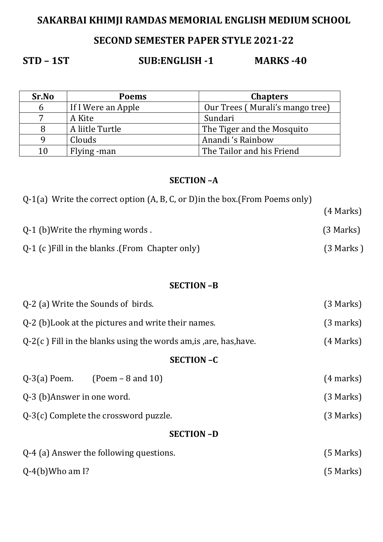# **SAKARBAI KHIMJI RAMDAS MEMORIAL ENGLISH MEDIUM SCHOOL**

## **SECOND SEMESTER PAPER STYLE 2021-22**

# **STD – 1ST SUB:ENGLISH -1 MARKS -40**

| Sr.No | <b>Poems</b>       | <b>Chapters</b>                 |
|-------|--------------------|---------------------------------|
| 6     | If I Were an Apple | Our Trees (Murali's mango tree) |
| 7     | A Kite             | Sundari                         |
|       | A liitle Turtle    | The Tiger and the Mosquito      |
|       | Clouds             | Anandi 's Rainbow               |
| 10    | Flying -man        | The Tailor and his Friend       |

## **SECTION –A**

| $Q-1(a)$ Write the correct option $(A, B, C, o\)$ in the box. (From Poems only) |             |
|---------------------------------------------------------------------------------|-------------|
|                                                                                 | $(4$ Marks) |
| Q-1 (b) Write the rhyming words.                                                | $(3$ Marks) |
| Q-1 (c) Fill in the blanks (From Chapter only)                                  | $(3$ Marks) |

## **SECTION –B**

| Q-2 (a) Write the Sounds of birds.                                   | (3 Marks)           |  |  |
|----------------------------------------------------------------------|---------------------|--|--|
| Q-2 (b) Look at the pictures and write their names.                  | $(3 \text{ marks})$ |  |  |
| $Q-2(c)$ Fill in the blanks using the words am, is , are, has, have. | $(4$ Marks)         |  |  |
| <b>SECTION-C</b>                                                     |                     |  |  |
| $Q-3(a)$ Poem. (Poem – 8 and 10)                                     | $(4 \text{ marks})$ |  |  |
| Q-3 (b)Answer in one word.                                           | (3 Marks)           |  |  |
| Q-3(c) Complete the crossword puzzle.                                | (3 Marks)           |  |  |
| <b>SECTION-D</b>                                                     |                     |  |  |
| Q-4 (a) Answer the following questions.                              | $(5$ Marks)         |  |  |
| $Q-4(b)$ Who am I?                                                   | $(5$ Marks)         |  |  |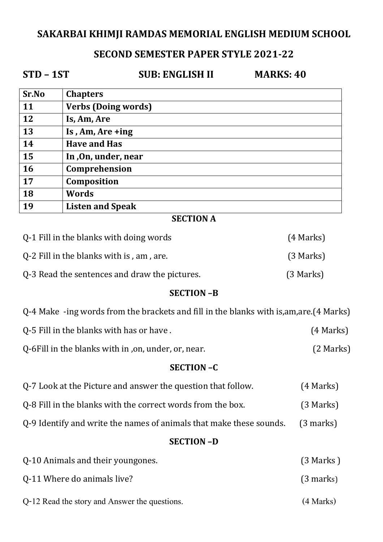## **SAKARBAI KHIMJI RAMDAS MEMORIAL ENGLISH MEDIUM SCHOOL**

## **SECOND SEMESTER PAPER STYLE 2021-22**

**STD – 1ST SUB: ENGLISH II MARKS: 40** 

| Sr.No | <b>Chapters</b>            |
|-------|----------------------------|
| 11    | <b>Verbs (Doing words)</b> |
| 12    | Is, Am, Are                |
| 13    | Is, $Am$ , $Are + ing$     |
| 14    | <b>Have and Has</b>        |
| 15    | In, On, under, near        |
| 16    | Comprehension              |
| 17    | Composition                |
| 18    | Words                      |
| 19    | <b>Listen and Speak</b>    |

## **SECTION A**

| Q-1 Fill in the blanks with doing words       | $(4$ Marks) |
|-----------------------------------------------|-------------|
| Q-2 Fill in the blanks with is, am, are.      | $(3$ Marks) |
| Q-3 Read the sentences and draw the pictures. | $(3$ Marks) |

## **SECTION –B**

Q-4 Make -ing words from the brackets and fill in the blanks with is,am,are.(4 Marks)

| Q-5 Fill in the blanks with has or have. | (4 Marks) |
|------------------------------------------|-----------|
|                                          |           |

Q-6Fill in the blanks with in ,on, under, or, near. (2 Marks)

#### **SECTION –C**

| Q-7 Look at the Picture and answer the question that follow. | (4 Marks) |
|--------------------------------------------------------------|-----------|
|                                                              |           |

Q-8 Fill in the blanks with the correct words from the box. (3 Marks)

Q-9 Identify and write the names of animals that make these sounds. (3 marks)

## **SECTION –D**

| Q-10 Animals and their youngones.             | $(3$ Marks)         |
|-----------------------------------------------|---------------------|
| 0-11 Where do animals live?                   | $(3 \text{ marks})$ |
| Q-12 Read the story and Answer the questions. | $(4$ Marks)         |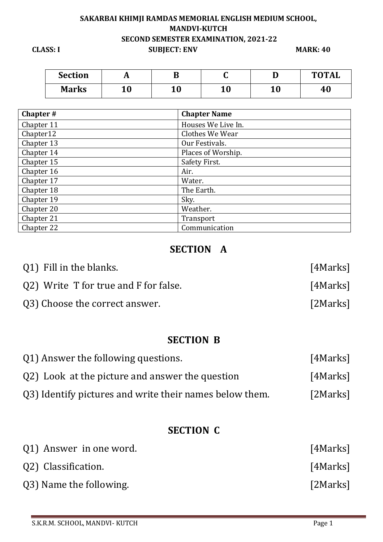## **SAKARBAI KHIMJI RAMDAS MEMORIAL ENGLISH MEDIUM SCHOOL, MANDVI-KUTCH SECOND SEMESTER EXAMINATION, 2021-22 CLASS: I** SUBJECT: ENV MARK: 40

| <b>Section</b> | л         | ப         | ີ  |           | <b>TOTAL</b> |
|----------------|-----------|-----------|----|-----------|--------------|
| <b>Marks</b>   | 1 N<br>ıυ | 1 በ<br>⊥∪ | 10 | 1 N<br>ΨU | 40           |

| Chapter#   | <b>Chapter Name</b> |
|------------|---------------------|
| Chapter 11 | Houses We Live In.  |
| Chapter12  | Clothes We Wear     |
| Chapter 13 | Our Festivals.      |
| Chapter 14 | Places of Worship.  |
| Chapter 15 | Safety First.       |
| Chapter 16 | Air.                |
| Chapter 17 | Water.              |
| Chapter 18 | The Earth.          |
| Chapter 19 | Sky.                |
| Chapter 20 | Weather.            |
| Chapter 21 | Transport           |
| Chapter 22 | Communication       |

## **SECTION A**

| Q1) Fill in the blanks.               | [4Marks] |
|---------------------------------------|----------|
| Q2) Write T for true and F for false. | [4Marks] |
| Q3) Choose the correct answer.        | [2Marks] |

## **SECTION B**

| Q1) Answer the following questions.                     | [4Marks] |
|---------------------------------------------------------|----------|
| Q2) Look at the picture and answer the question         | [4Marks] |
| Q3) Identify pictures and write their names below them. | [2Marks] |

## **SECTION C**

| Q1) Answer in one word. | [4Marks] |
|-------------------------|----------|
| Q2) Classification.     | [4Marks] |
| Q3) Name the following. | [2Marks] |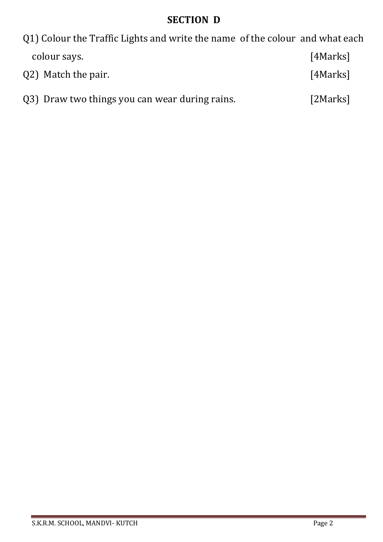# **SECTION D**

| 01) Colour the Traffic Lights and write the name of the colour and what each |          |
|------------------------------------------------------------------------------|----------|
| colour says.                                                                 | [4Marks] |
| Q2) Match the pair.                                                          | [4Marks] |

|  | Q3) Draw two things you can wear during rains. | [2Marks] |
|--|------------------------------------------------|----------|
|--|------------------------------------------------|----------|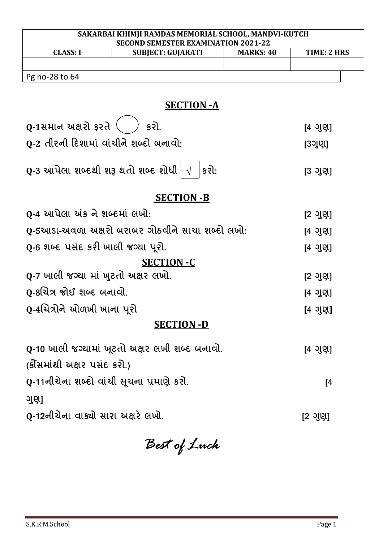| SAKARBAI KHIMJI RAMDAS MEMORIAL SCHOOL, MANDVI-KUTCH<br><b>SECOND SEMESTER EXAMINATION 2021-22</b> |                  |             |  |
|----------------------------------------------------------------------------------------------------|------------------|-------------|--|
| <b>CLASS: I</b><br><b>SUBJECT: GUJARATI</b>                                                        | <b>MARKS: 40</b> | TIME: 2 HRS |  |
|                                                                                                    |                  |             |  |
| Pg no-28 to 64                                                                                     |                  |             |  |
| <b>SECTION - A</b>                                                                                 |                  |             |  |
| Q-1સમાન અક્ષરો ફરતે<br>કરી.                                                                        |                  | [4 ગુણ]     |  |
| 0-2 તીરની દિશામાં વાંચીને શબ્દો બનાવો <del>.</del>                                                 |                  | [3ગુણ]      |  |
| Q-3 આપેલા શબ્દથી શરૂ થતો શબ્દ શોધી $\mid \sqrt{ }$<br>કરો:                                         |                  | [3 ગુણ]     |  |
| <b>SECTION -B</b>                                                                                  |                  |             |  |
| 0-4 આપેલા અંક ને શબ્દમાં લખો:                                                                      |                  | [2 ગુણ]     |  |
| Q-5આડા-અવળા અક્ષરો બરાબર ગોઠવીને સાચા શબ્દો લખો:                                                   |                  | [4 ગુણ]     |  |
| Q-6 શબ્દ પસંદ કરી ખાલી જગ્યા પૂરો.                                                                 |                  | [4 ગુણ]     |  |
| <b>SECTION -C</b>                                                                                  |                  |             |  |
| Q-7 ખાલી જગ્યા માં ખુટતો અક્ષર લખો.                                                                |                  | [2 ગુણ]     |  |
| 0-8ચિત્ર જોઈ શબ્દ બનાવો.                                                                           |                  | [4 ગુણ]     |  |
| Q-4ચિત્રોને ઓળખી ખાના પૂરો                                                                         |                  | [4 ગુણ]     |  |
| <b>SECTION -D</b>                                                                                  |                  |             |  |
| 0-10 ખાલી જગ્યામાં ખૂટતો અક્ષર લખી શબ્દ બનાવો.                                                     |                  | [4 ગુણ]     |  |
| (ક્રૌંસમાંથી અક્ષર પસંદ કરો.)                                                                      |                  |             |  |
| Q-11નીચેના શબ્દો વાંચી સૂચના પ્રમાણે કરો.                                                          |                  | [4          |  |
| ગુણ]                                                                                               |                  |             |  |
| Q-12નીચેના વાક્યો સારા અક્ષરે લખો.                                                                 |                  | [2 ગુણ]     |  |

*Best of Luck*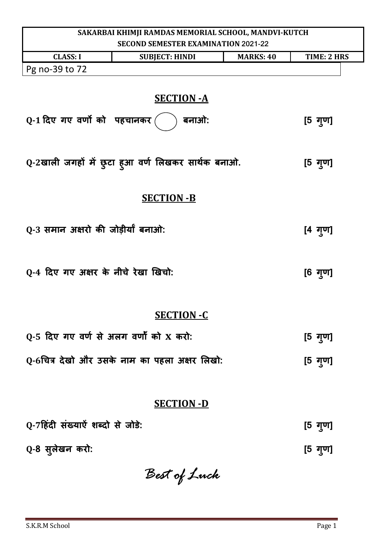| SAKARBAI KHIMJI RAMDAS MEMORIAL SCHOOL, MANDVI-KUTCH |                                                    |                  |                    |
|------------------------------------------------------|----------------------------------------------------|------------------|--------------------|
|                                                      | <b>SECOND SEMESTER EXAMINATION 2021-22</b>         |                  |                    |
| <b>CLASS: I</b>                                      | <b>SUBJECT: HINDI</b>                              | <b>MARKS: 40</b> | <b>TIME: 2 HRS</b> |
| Pg no-39 to 72                                       |                                                    |                  |                    |
|                                                      | <b>SECTION - A</b>                                 |                  |                    |
| Q-1 दिए गए वर्णों को पहचानकर                         | बनाओ:                                              |                  | [5 गुण]            |
|                                                      | Q-2खाली जगहों में छुटा हुआ वर्ण लिखकर सार्थक बनाओ. |                  | [5 गुण]            |
|                                                      | <b>SECTION -B</b>                                  |                  |                    |
| Q-3 समान अक्षरो की जोड़ीर्यां बनाओ:                  |                                                    |                  | $[4 \t{q}$ गुण]    |
| Q-4 दिए गए अक्षर के नीचे रेखा खिचो:                  |                                                    |                  | [6 गुण]            |
|                                                      | <b>SECTION -C</b>                                  |                  |                    |
| Q-5 दिए गए वर्ण से अलग वर्णों को X करो:              |                                                    |                  | [5 गुण]            |
|                                                      | Q-6चित्र देखो और उसके नाम का पहला अक्षर लिखो:      |                  | [5 गुण]            |
|                                                      |                                                    |                  |                    |
| <b>SECTION -D</b>                                    |                                                    |                  |                    |
| Q-7हिंदी संख्याऐं शब्दों से जोड़े:                   |                                                    |                  | [5 गुण]            |
| Q-8 सुलेखन करो:                                      |                                                    |                  | [5 गुण]            |

*Best of Luck*